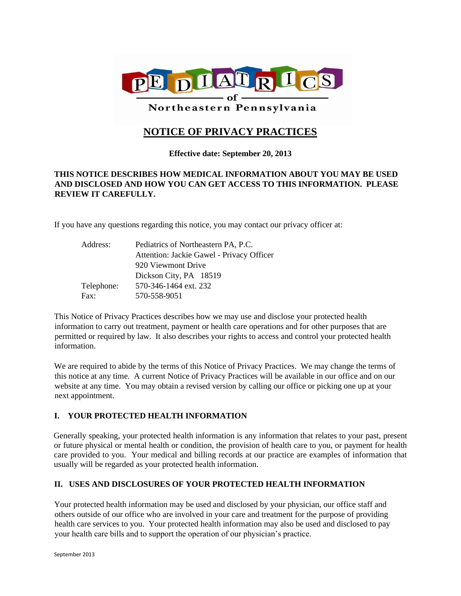

Northeastern Pennsylvania

# **NOTICE OF PRIVACY PRACTICES**

# **Effective date: September 20, 2013**

# **THIS NOTICE DESCRIBES HOW MEDICAL INFORMATION ABOUT YOU MAY BE USED AND DISCLOSED AND HOW YOU CAN GET ACCESS TO THIS INFORMATION. PLEASE REVIEW IT CAREFULLY.**

If you have any questions regarding this notice, you may contact our privacy officer at:

| Address:   | Pediatrics of Northeastern PA, P.C.       |
|------------|-------------------------------------------|
|            | Attention: Jackie Gawel - Privacy Officer |
|            | 920 Viewmont Drive                        |
|            | Dickson City, PA 18519                    |
| Telephone: | 570-346-1464 ext. 232                     |
| Fax:       | 570-558-9051                              |

This Notice of Privacy Practices describes how we may use and disclose your protected health information to carry out treatment, payment or health care operations and for other purposes that are permitted or required by law. It also describes your rights to access and control your protected health information.

We are required to abide by the terms of this Notice of Privacy Practices. We may change the terms of this notice at any time. A current Notice of Privacy Practices will be available in our office and on our website at any time. You may obtain a revised version by calling our office or picking one up at your next appointment.

# **I. YOUR PROTECTED HEALTH INFORMATION**

Generally speaking, your protected health information is any information that relates to your past, present or future physical or mental health or condition, the provision of health care to you, or payment for health care provided to you. Your medical and billing records at our practice are examples of information that usually will be regarded as your protected health information.

# **II. USES AND DISCLOSURES OF YOUR PROTECTED HEALTH INFORMATION**

Your protected health information may be used and disclosed by your physician, our office staff and others outside of our office who are involved in your care and treatment for the purpose of providing health care services to you. Your protected health information may also be used and disclosed to pay your health care bills and to support the operation of our physician's practice.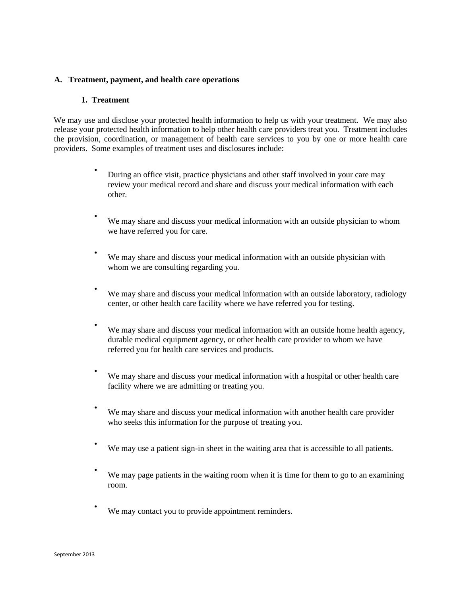#### **A. Treatment, payment, and health care operations**

#### **1. Treatment**

We may use and disclose your protected health information to help us with your treatment. We may also release your protected health information to help other health care providers treat you. Treatment includes the provision, coordination, or management of health care services to you by one or more health care providers. Some examples of treatment uses and disclosures include:

- During an office visit, practice physicians and other staff involved in your care may review your medical record and share and discuss your medical information with each other.
- We may share and discuss your medical information with an outside physician to whom we have referred you for care.
- We may share and discuss your medical information with an outside physician with whom we are consulting regarding you.
- We may share and discuss your medical information with an outside laboratory, radiology center, or other health care facility where we have referred you for testing.
- We may share and discuss your medical information with an outside home health agency, durable medical equipment agency, or other health care provider to whom we have referred you for health care services and products.
- We may share and discuss your medical information with a hospital or other health care facility where we are admitting or treating you.
- We may share and discuss your medical information with another health care provider who seeks this information for the purpose of treating you.
- We may use a patient sign-in sheet in the waiting area that is accessible to all patients.
- We may page patients in the waiting room when it is time for them to go to an examining room.
- We may contact you to provide appointment reminders.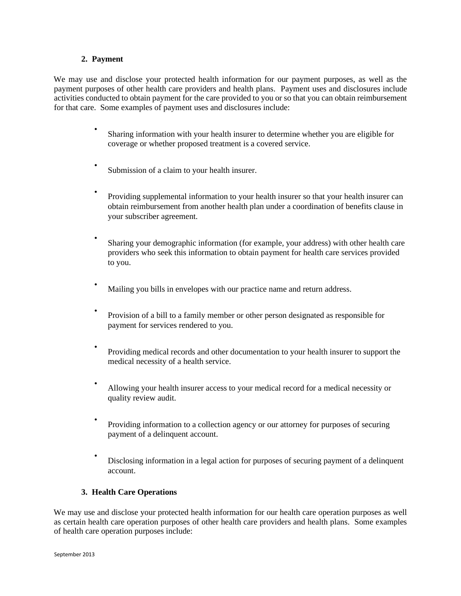#### **2. Payment**

We may use and disclose your protected health information for our payment purposes, as well as the payment purposes of other health care providers and health plans. Payment uses and disclosures include activities conducted to obtain payment for the care provided to you or so that you can obtain reimbursement for that care. Some examples of payment uses and disclosures include:

- Sharing information with your health insurer to determine whether you are eligible for coverage or whether proposed treatment is a covered service.
- Submission of a claim to your health insurer.
- Providing supplemental information to your health insurer so that your health insurer can obtain reimbursement from another health plan under a coordination of benefits clause in your subscriber agreement.
- Sharing your demographic information (for example, your address) with other health care providers who seek this information to obtain payment for health care services provided to you.
- Mailing you bills in envelopes with our practice name and return address.
- Provision of a bill to a family member or other person designated as responsible for payment for services rendered to you.
- Providing medical records and other documentation to your health insurer to support the medical necessity of a health service.
- Allowing your health insurer access to your medical record for a medical necessity or quality review audit.
- Providing information to a collection agency or our attorney for purposes of securing payment of a delinquent account.
- Disclosing information in a legal action for purposes of securing payment of a delinquent account.

#### **3. Health Care Operations**

We may use and disclose your protected health information for our health care operation purposes as well as certain health care operation purposes of other health care providers and health plans. Some examples of health care operation purposes include: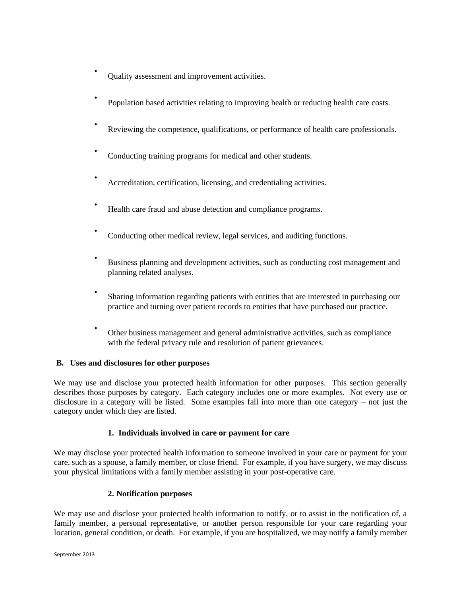- Quality assessment and improvement activities.
- Population based activities relating to improving health or reducing health care costs.
- Reviewing the competence, qualifications, or performance of health care professionals.
- Conducting training programs for medical and other students.
- Accreditation, certification, licensing, and credentialing activities.
- Health care fraud and abuse detection and compliance programs.
- Conducting other medical review, legal services, and auditing functions.
- Business planning and development activities, such as conducting cost management and planning related analyses.
- Sharing information regarding patients with entities that are interested in purchasing our practice and turning over patient records to entities that have purchased our practice.
- Other business management and general administrative activities, such as compliance with the federal privacy rule and resolution of patient grievances.

#### **B. Uses and disclosures for other purposes**

We may use and disclose your protected health information for other purposes. This section generally describes those purposes by category. Each category includes one or more examples. Not every use or disclosure in a category will be listed. Some examples fall into more than one category – not just the category under which they are listed.

#### **1. Individuals involved in care or payment for care**

We may disclose your protected health information to someone involved in your care or payment for your care, such as a spouse, a family member, or close friend. For example, if you have surgery, we may discuss your physical limitations with a family member assisting in your post-operative care.

### **2. Notification purposes**

We may use and disclose your protected health information to notify, or to assist in the notification of, a family member, a personal representative, or another person responsible for your care regarding your location, general condition, or death. For example, if you are hospitalized, we may notify a family member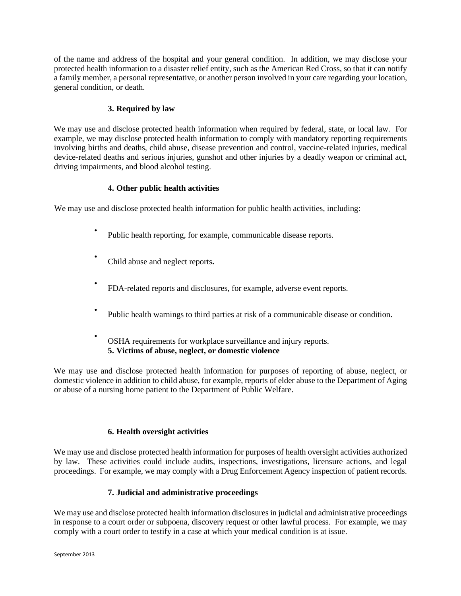of the name and address of the hospital and your general condition. In addition, we may disclose your protected health information to a disaster relief entity, such as the American Red Cross, so that it can notify a family member, a personal representative, or another person involved in your care regarding your location, general condition, or death.

# **3. Required by law**

We may use and disclose protected health information when required by federal, state, or local law. For example, we may disclose protected health information to comply with mandatory reporting requirements involving births and deaths, child abuse, disease prevention and control, vaccine-related injuries, medical device-related deaths and serious injuries, gunshot and other injuries by a deadly weapon or criminal act, driving impairments, and blood alcohol testing.

## **4. Other public health activities**

We may use and disclose protected health information for public health activities, including:

- Public health reporting, for example, communicable disease reports.
- Child abuse and neglect reports**.**
- FDA-related reports and disclosures, for example, adverse event reports.
- Public health warnings to third parties at risk of a communicable disease or condition.
- OSHA requirements for workplace surveillance and injury reports. **5. Victims of abuse, neglect, or domestic violence**

We may use and disclose protected health information for purposes of reporting of abuse, neglect, or domestic violence in addition to child abuse, for example, reports of elder abuse to the Department of Aging or abuse of a nursing home patient to the Department of Public Welfare.

#### **6. Health oversight activities**

We may use and disclose protected health information for purposes of health oversight activities authorized by law. These activities could include audits, inspections, investigations, licensure actions, and legal proceedings. For example, we may comply with a Drug Enforcement Agency inspection of patient records.

# **7. Judicial and administrative proceedings**

We may use and disclose protected health information disclosures in judicial and administrative proceedings in response to a court order or subpoena, discovery request or other lawful process. For example, we may comply with a court order to testify in a case at which your medical condition is at issue.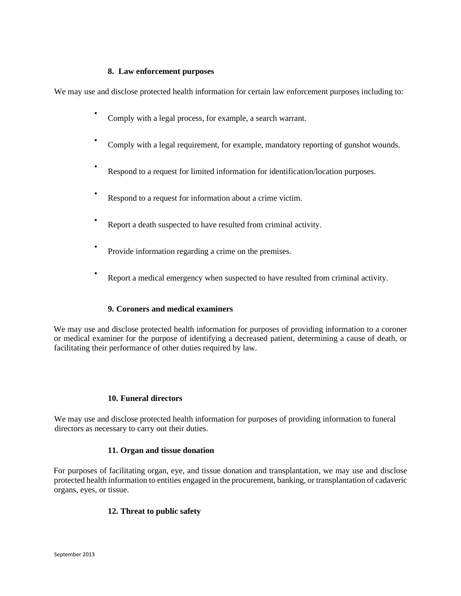#### **8. Law enforcement purposes**

We may use and disclose protected health information for certain law enforcement purposes including to:

- Comply with a legal process, for example, a search warrant.
- Comply with a legal requirement, for example, mandatory reporting of gunshot wounds.
- Respond to a request for limited information for identification/location purposes.
- Respond to a request for information about a crime victim.
- Report a death suspected to have resulted from criminal activity.
- Provide information regarding a crime on the premises.
- Report a medical emergency when suspected to have resulted from criminal activity.

# **9. Coroners and medical examiners**

We may use and disclose protected health information for purposes of providing information to a coroner or medical examiner for the purpose of identifying a decreased patient, determining a cause of death, or facilitating their performance of other duties required by law.

#### **10. Funeral directors**

We may use and disclose protected health information for purposes of providing information to funeral directors as necessary to carry out their duties.

#### **11. Organ and tissue donation**

For purposes of facilitating organ, eye, and tissue donation and transplantation, we may use and disclose protected health information to entities engaged in the procurement, banking, or transplantation of cadaveric organs, eyes, or tissue.

# **12. Threat to public safety**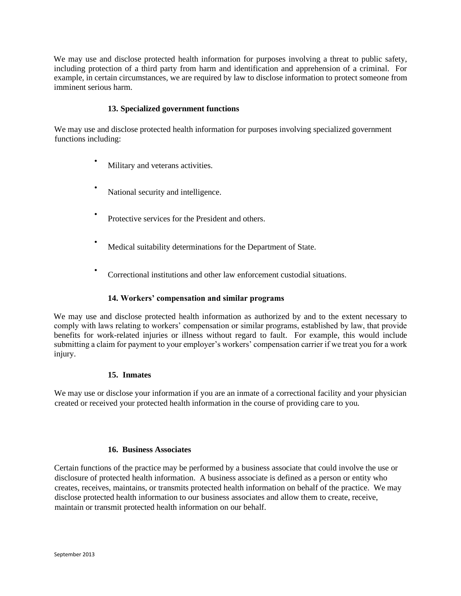We may use and disclose protected health information for purposes involving a threat to public safety, including protection of a third party from harm and identification and apprehension of a criminal. For example, in certain circumstances, we are required by law to disclose information to protect someone from imminent serious harm.

### **13. Specialized government functions**

We may use and disclose protected health information for purposes involving specialized government functions including:

- Military and veterans activities.
- National security and intelligence.
- Protective services for the President and others.
- Medical suitability determinations for the Department of State.
- Correctional institutions and other law enforcement custodial situations.

#### **14. Workers' compensation and similar programs**

We may use and disclose protected health information as authorized by and to the extent necessary to comply with laws relating to workers' compensation or similar programs, established by law, that provide benefits for work-related injuries or illness without regard to fault. For example, this would include submitting a claim for payment to your employer's workers' compensation carrier if we treat you for a work injury.

#### **15. Inmates**

We may use or disclose your information if you are an inmate of a correctional facility and your physician created or received your protected health information in the course of providing care to you.

#### **16. Business Associates**

Certain functions of the practice may be performed by a business associate that could involve the use or disclosure of protected health information. A business associate is defined as a person or entity who creates, receives, maintains, or transmits protected health information on behalf of the practice. We may disclose protected health information to our business associates and allow them to create, receive, maintain or transmit protected health information on our behalf.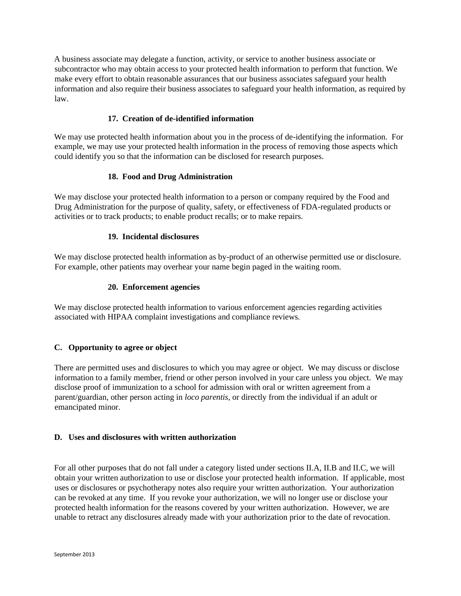A business associate may delegate a function, activity, or service to another business associate or subcontractor who may obtain access to your protected health information to perform that function. We make every effort to obtain reasonable assurances that our business associates safeguard your health information and also require their business associates to safeguard your health information, as required by law.

# **17. Creation of de-identified information**

We may use protected health information about you in the process of de-identifying the information. For example, we may use your protected health information in the process of removing those aspects which could identify you so that the information can be disclosed for research purposes.

#### **18. Food and Drug Administration**

We may disclose your protected health information to a person or company required by the Food and Drug Administration for the purpose of quality, safety, or effectiveness of FDA-regulated products or activities or to track products; to enable product recalls; or to make repairs.

#### **19. Incidental disclosures**

We may disclose protected health information as by-product of an otherwise permitted use or disclosure. For example, other patients may overhear your name begin paged in the waiting room.

#### **20. Enforcement agencies**

We may disclose protected health information to various enforcement agencies regarding activities associated with HIPAA complaint investigations and compliance reviews.

#### **C. Opportunity to agree or object**

There are permitted uses and disclosures to which you may agree or object. We may discuss or disclose information to a family member, friend or other person involved in your care unless you object. We may disclose proof of immunization to a school for admission with oral or written agreement from a parent/guardian, other person acting in *loco parentis*, or directly from the individual if an adult or emancipated minor.

#### **D. Uses and disclosures with written authorization**

For all other purposes that do not fall under a category listed under sections II.A, II.B and II.C, we will obtain your written authorization to use or disclose your protected health information. If applicable, most uses or disclosures or psychotherapy notes also require your written authorization. Your authorization can be revoked at any time. If you revoke your authorization, we will no longer use or disclose your protected health information for the reasons covered by your written authorization. However, we are unable to retract any disclosures already made with your authorization prior to the date of revocation.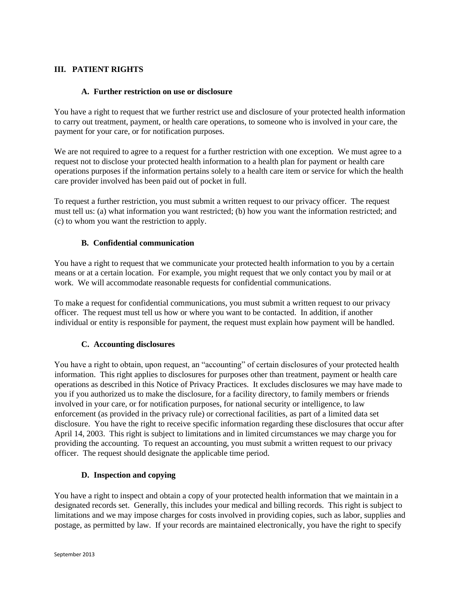## **III. PATIENT RIGHTS**

#### **A. Further restriction on use or disclosure**

You have a right to request that we further restrict use and disclosure of your protected health information to carry out treatment, payment, or health care operations, to someone who is involved in your care, the payment for your care, or for notification purposes.

We are not required to agree to a request for a further restriction with one exception. We must agree to a request not to disclose your protected health information to a health plan for payment or health care operations purposes if the information pertains solely to a health care item or service for which the health care provider involved has been paid out of pocket in full.

To request a further restriction, you must submit a written request to our privacy officer. The request must tell us: (a) what information you want restricted; (b) how you want the information restricted; and (c) to whom you want the restriction to apply.

## **B. Confidential communication**

You have a right to request that we communicate your protected health information to you by a certain means or at a certain location. For example, you might request that we only contact you by mail or at work. We will accommodate reasonable requests for confidential communications.

To make a request for confidential communications, you must submit a written request to our privacy officer. The request must tell us how or where you want to be contacted. In addition, if another individual or entity is responsible for payment, the request must explain how payment will be handled.

#### **C. Accounting disclosures**

You have a right to obtain, upon request, an "accounting" of certain disclosures of your protected health information. This right applies to disclosures for purposes other than treatment, payment or health care operations as described in this Notice of Privacy Practices. It excludes disclosures we may have made to you if you authorized us to make the disclosure, for a facility directory, to family members or friends involved in your care, or for notification purposes, for national security or intelligence, to law enforcement (as provided in the privacy rule) or correctional facilities, as part of a limited data set disclosure. You have the right to receive specific information regarding these disclosures that occur after April 14, 2003. This right is subject to limitations and in limited circumstances we may charge you for providing the accounting. To request an accounting, you must submit a written request to our privacy officer. The request should designate the applicable time period.

#### **D. Inspection and copying**

You have a right to inspect and obtain a copy of your protected health information that we maintain in a designated records set. Generally, this includes your medical and billing records. This right is subject to limitations and we may impose charges for costs involved in providing copies, such as labor, supplies and postage, as permitted by law. If your records are maintained electronically, you have the right to specify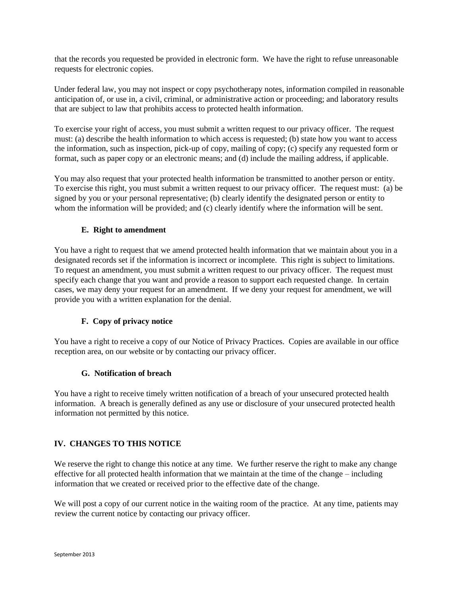that the records you requested be provided in electronic form. We have the right to refuse unreasonable requests for electronic copies.

Under federal law, you may not inspect or copy psychotherapy notes, information compiled in reasonable anticipation of, or use in, a civil, criminal, or administrative action or proceeding; and laboratory results that are subject to law that prohibits access to protected health information.

To exercise your right of access, you must submit a written request to our privacy officer. The request must: (a) describe the health information to which access is requested; (b) state how you want to access the information, such as inspection, pick-up of copy, mailing of copy; (c) specify any requested form or format, such as paper copy or an electronic means; and (d) include the mailing address, if applicable.

You may also request that your protected health information be transmitted to another person or entity. To exercise this right, you must submit a written request to our privacy officer. The request must: (a) be signed by you or your personal representative; (b) clearly identify the designated person or entity to whom the information will be provided; and (c) clearly identify where the information will be sent.

## **E. Right to amendment**

You have a right to request that we amend protected health information that we maintain about you in a designated records set if the information is incorrect or incomplete. This right is subject to limitations. To request an amendment, you must submit a written request to our privacy officer. The request must specify each change that you want and provide a reason to support each requested change. In certain cases, we may deny your request for an amendment. If we deny your request for amendment, we will provide you with a written explanation for the denial.

# **F. Copy of privacy notice**

You have a right to receive a copy of our Notice of Privacy Practices. Copies are available in our office reception area, on our website or by contacting our privacy officer.

#### **G. Notification of breach**

You have a right to receive timely written notification of a breach of your unsecured protected health information. A breach is generally defined as any use or disclosure of your unsecured protected health information not permitted by this notice.

#### **IV. CHANGES TO THIS NOTICE**

We reserve the right to change this notice at any time. We further reserve the right to make any change effective for all protected health information that we maintain at the time of the change – including information that we created or received prior to the effective date of the change.

We will post a copy of our current notice in the waiting room of the practice. At any time, patients may review the current notice by contacting our privacy officer.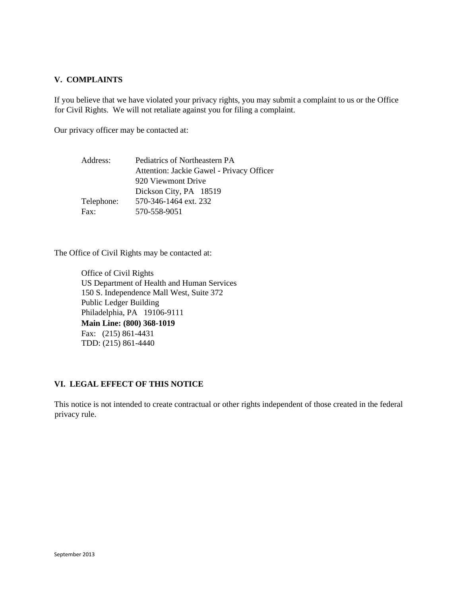## **V. COMPLAINTS**

If you believe that we have violated your privacy rights, you may submit a complaint to us or the Office for Civil Rights. We will not retaliate against you for filing a complaint.

Our privacy officer may be contacted at:

| Address:   | Pediatrics of Northeastern PA             |
|------------|-------------------------------------------|
|            | Attention: Jackie Gawel - Privacy Officer |
|            | 920 Viewmont Drive                        |
|            | Dickson City, PA 18519                    |
| Telephone: | 570-346-1464 ext. 232                     |
| Fax:       | 570-558-9051                              |

The Office of Civil Rights may be contacted at:

Office of Civil Rights US Department of Health and Human Services 150 S. Independence Mall West, Suite 372 Public Ledger Building Philadelphia, PA 19106-9111 **Main Line: (800) 368-1019** Fax: (215) 861-4431 TDD: (215) 861-4440

#### **VI. LEGAL EFFECT OF THIS NOTICE**

This notice is not intended to create contractual or other rights independent of those created in the federal privacy rule.